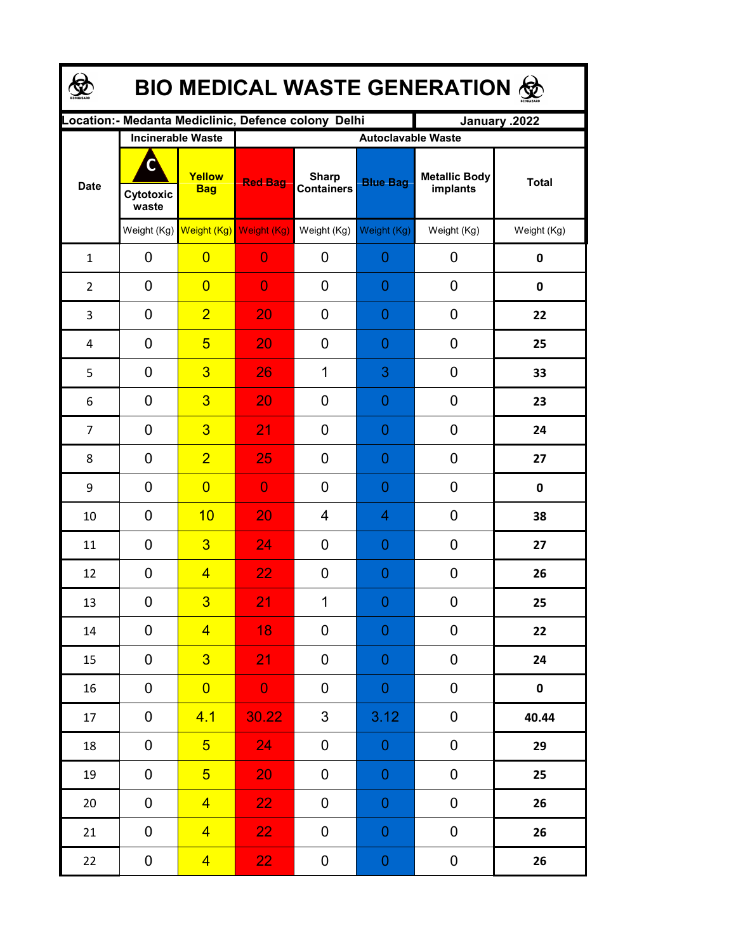| <b>BIO MEDICAL WASTE GENERATION &amp;</b> |                          |                                     |                           |                                                      |                  |                                  |              |  |  |  |
|-------------------------------------------|--------------------------|-------------------------------------|---------------------------|------------------------------------------------------|------------------|----------------------------------|--------------|--|--|--|
|                                           |                          |                                     |                           | Location: - Medanta Mediclinic, Defence colony Delhi |                  | January .2022                    |              |  |  |  |
| <b>Date</b>                               | <b>Incinerable Waste</b> |                                     | <b>Autoclavable Waste</b> |                                                      |                  |                                  |              |  |  |  |
|                                           | C<br>Cytotoxic<br>waste  | Yellow<br><b>Bag</b>                | <b>Red Bag</b>            | <b>Sharp</b><br><b>Containers</b>                    | <b>Blue Bag</b>  | <b>Metallic Body</b><br>implants | <b>Total</b> |  |  |  |
|                                           |                          | Weight (Kg) Weight (Kg) Weight (Kg) |                           | Weight (Kg)                                          | Weight (Kg)      | Weight (Kg)                      | Weight (Kg)  |  |  |  |
| $\mathbf{1}$                              | 0                        | $\overline{0}$                      | $\overline{0}$            | 0                                                    | 0                | 0                                | 0            |  |  |  |
| $\overline{2}$                            | 0                        | $\overline{0}$                      | $\overline{0}$            | 0                                                    | 0                | 0                                | 0            |  |  |  |
| 3                                         | 0                        | $\overline{2}$                      | 20                        | 0                                                    | 0                | 0                                | 22           |  |  |  |
| 4                                         | 0                        | $5\overline{)}$                     | 20                        | 0                                                    | 0                | 0                                | 25           |  |  |  |
| 5                                         | 0                        | $\overline{3}$                      | 26                        | 1                                                    | 3                | 0                                | 33           |  |  |  |
| 6                                         | 0                        | $\overline{3}$                      | 20                        | 0                                                    | 0                | 0                                | 23           |  |  |  |
| $\overline{7}$                            | 0                        | $\overline{3}$                      | 21                        | 0                                                    | 0                | 0                                | 24           |  |  |  |
| 8                                         | 0                        | $\overline{2}$                      | 25                        | 0                                                    | 0                | 0                                | 27           |  |  |  |
| 9                                         | $\overline{0}$           | $\overline{0}$                      | $\overline{0}$            | 0                                                    | 0                | 0                                | 0            |  |  |  |
| 10                                        | 0                        | 10                                  | 20                        | 4                                                    | 4                | 0                                | 38           |  |  |  |
| 11                                        | $\overline{0}$           | $\overline{3}$                      | 24                        | $\overline{0}$                                       | 0                | 0                                | 27           |  |  |  |
| 12                                        | $\mathbf 0$              | $\overline{4}$                      | 22                        | 0                                                    | 0                | 0                                | 26           |  |  |  |
| 13                                        | 0                        | $\overline{3}$                      | 21                        | 1                                                    | $\overline{0}$   | 0                                | 25           |  |  |  |
| 14                                        | $\mathbf 0$              | $\overline{4}$                      | 18                        | 0                                                    | 0                | 0                                | 22           |  |  |  |
| 15                                        | $\mathbf 0$              | 3 <sup>5</sup>                      | 21                        | 0                                                    | 0                | 0                                | 24           |  |  |  |
| 16                                        | $\mathbf 0$              | $\overline{0}$                      | $\mathbf{0}$              | 0                                                    | $\mathbf 0$      | 0                                | $\mathbf 0$  |  |  |  |
| 17                                        | $\pmb{0}$                | 4.1                                 | 30.22                     | 3                                                    | 3.12             | 0                                | 40.44        |  |  |  |
| 18                                        | $\mathbf 0$              | 5 <sup>1</sup>                      | 24 <sub>1</sub>           | 0                                                    | $\boldsymbol{0}$ | 0                                | 29           |  |  |  |
| 19                                        | $\mathbf 0$              | 5 <sup>5</sup>                      | 20                        | 0                                                    | $\boldsymbol{0}$ | 0                                | 25           |  |  |  |
| 20                                        | 0                        | $\overline{4}$                      | 22 <sub>1</sub>           | 0                                                    | $\boldsymbol{0}$ | 0                                | 26           |  |  |  |
| 21                                        | $\mathbf 0$              | $\overline{4}$                      | 22 <sub>1</sub>           | 0                                                    | 0                | 0                                | 26           |  |  |  |
| 22                                        | $\boldsymbol{0}$         | $\overline{4}$                      | 22 <sub>1</sub>           | 0                                                    | $\boldsymbol{0}$ | 0                                | 26           |  |  |  |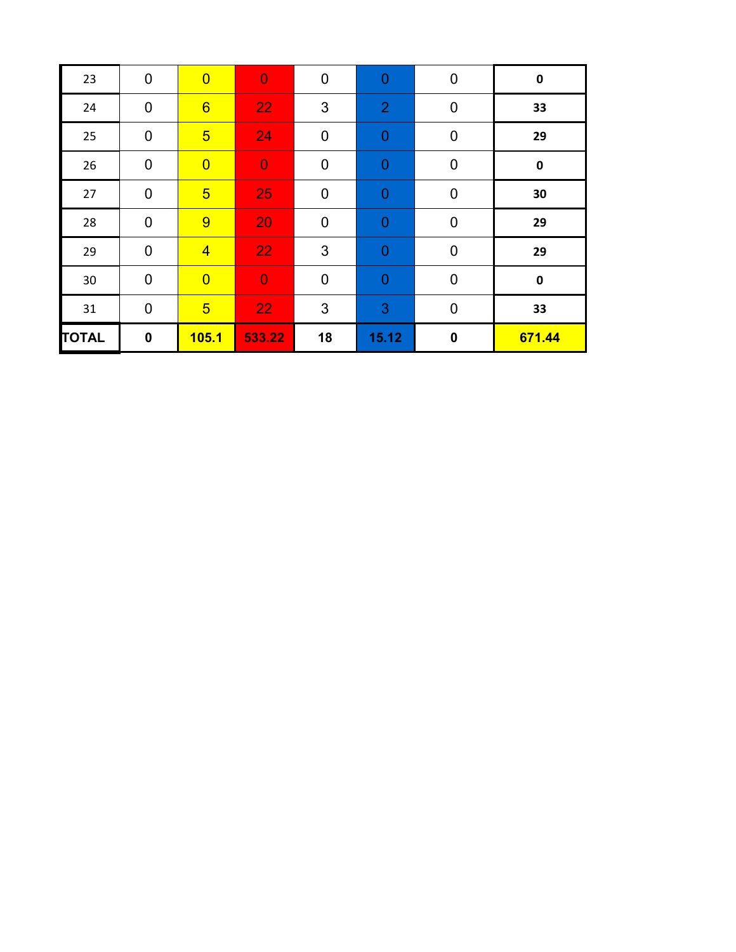| 23           | $\mathbf 0$ | $\overline{0}$  | $\overline{0}$ | $\mathbf 0$ | $\mathbf 0$    | $\mathbf 0$ | $\pmb{0}$ |
|--------------|-------------|-----------------|----------------|-------------|----------------|-------------|-----------|
| 24           | $\mathbf 0$ | $6\overline{6}$ | 22             | 3           | $\overline{2}$ | $\mathbf 0$ | 33        |
| 25           | $\mathbf 0$ | $5\overline{)}$ | 24             | $\mathbf 0$ | $\mathbf 0$    | $\mathbf 0$ | 29        |
| 26           | $\mathbf 0$ | $\overline{0}$  | $\overline{0}$ | $\mathbf 0$ | $\overline{0}$ | $\mathbf 0$ | $\pmb{0}$ |
| 27           | $\mathbf 0$ | $5\overline{)}$ | 25             | $\mathbf 0$ | $\mathbf{0}$   | $\mathbf 0$ | 30        |
| 28           | $\mathbf 0$ | 9               | 20             | $\mathbf 0$ | $\mathbf 0$    | $\pmb{0}$   | 29        |
| 29           | $\mathbf 0$ | $\overline{4}$  | 22             | 3           | $\mathbf 0$    | $\mathbf 0$ | 29        |
| 30           | $\mathbf 0$ | $\overline{0}$  | $\overline{0}$ | $\mathbf 0$ | $\mathbf{0}$   | $\mathbf 0$ | $\pmb{0}$ |
| 31           | $\mathbf 0$ | $\overline{5}$  | 22             | 3           | 3              | $\mathbf 0$ | 33        |
| <b>TOTAL</b> | $\mathbf 0$ | 105.1           | 533.22         | 18          | 15.12          | $\mathbf 0$ | 671.44    |